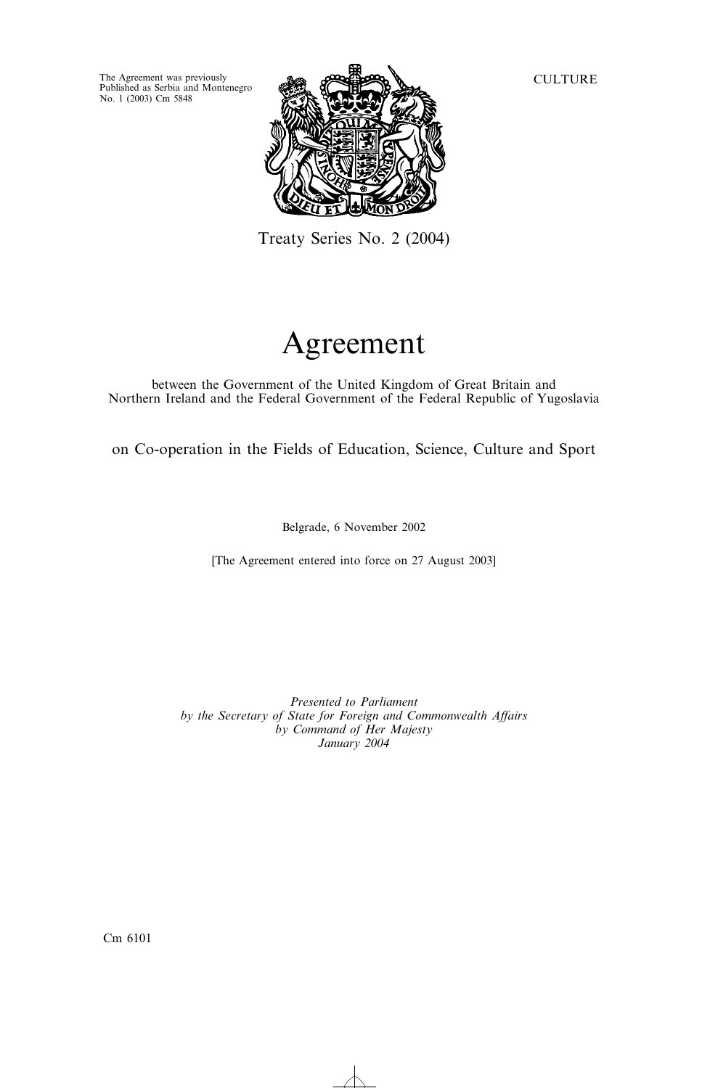Published as Serbia and Montenegro No. 1(2003) Cm 5848



Treaty Series No. 2 (2004)

# Agreement

between the Government of the United Kingdom of Great Britain and Northern Ireland and the Federal Government of the Federal Republic of Yugoslavia

on Co-operation in the Fields of Education, Science, Culture and Sport

Belgrade, 6 November 2002

[The Agreement entered into force on 27 August 2003]

*Presented to Parliament by the Secretary of State for Foreign and Commonwealth Affairs by Command of Her Majesty January 2004*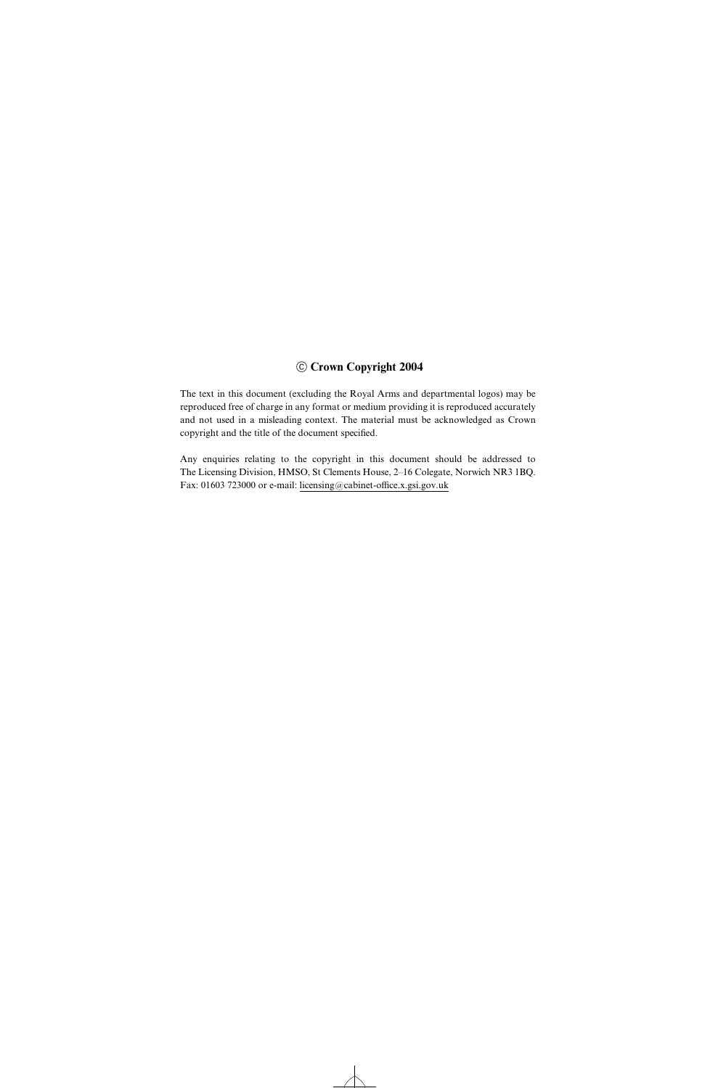## $©$  Crown Copyright 2004

The text in this document (excluding the Royal Arms and departmental logos) may be reproduced free of charge in any format or medium providing it is reproduced accurately and not used in a misleading context. The material must be acknowledged as Crown copyright and the title of the document specified.

Any enquiries relating to the copyright in this document should be addressed to The Licensing Division, HMSO, St Clements House, 2–16 Colegate, Norwich NR3 1BQ. Fax: 01603 723000 or e-mail: licensing@cabinet-office.x.gsi.gov.uk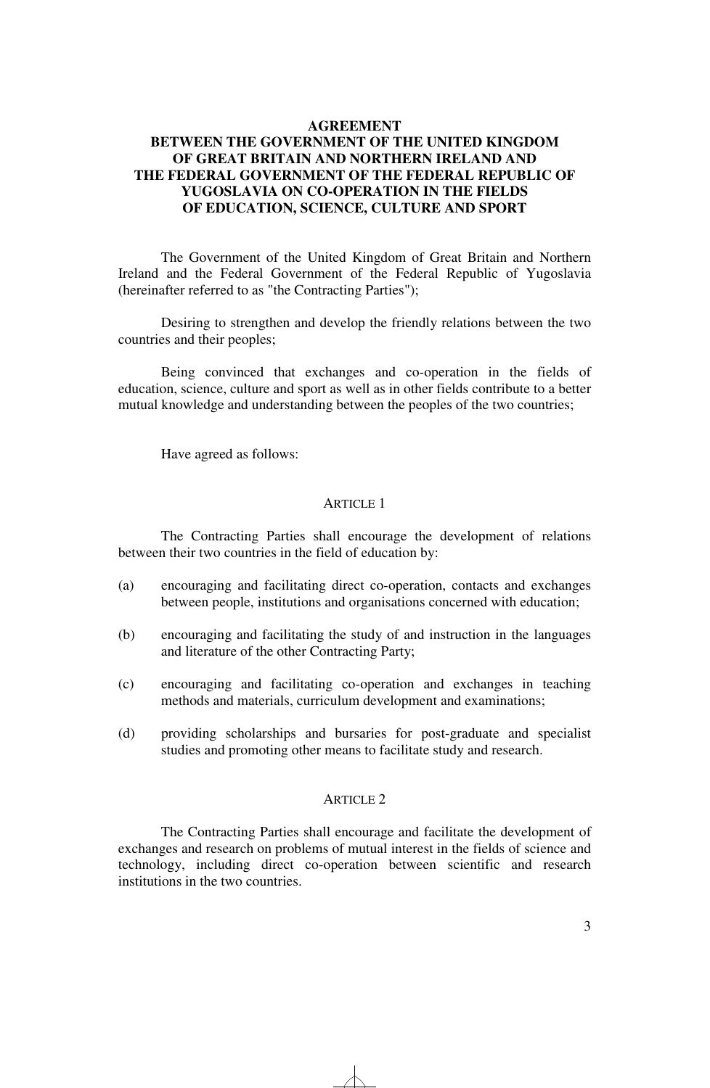# **AGREEMENT**

# **BETWEEN THE GOVERNMENT OF THE UNITED KINGDOM OF GREAT BRITAIN AND NORTHERN IRELAND AND THE FEDERAL GOVERNMENT OF THE FEDERAL REPUBLIC OF YUGOSLAVIA ON CO-OPERATION IN THE FIELDS OF EDUCATION, SCIENCE, CULTURE AND SPORT**

The Government of the United Kingdom of Great Britain and Northern Ireland and the Federal Government of the Federal Republic of Yugoslavia (hereinafter referred to as "the Contracting Parties");

Desiring to strengthen and develop the friendly relations between the two countries and their peoples;

Being convinced that exchanges and co-operation in the fields of education, science, culture and sport as well as in other fields contribute to a better mutual knowledge and understanding between the peoples of the two countries;

Have agreed as follows:

# ARTICLE 1

The Contracting Parties shall encourage the development of relations between their two countries in the field of education by:

- (a) encouraging and facilitating direct co-operation, contacts and exchanges between people, institutions and organisations concerned with education;
- (b) encouraging and facilitating the study of and instruction in the languages and literature of the other Contracting Party;
- (c) encouraging and facilitating co-operation and exchanges in teaching methods and materials, curriculum development and examinations;
- (d) providing scholarships and bursaries for post-graduate and specialist studies and promoting other means to facilitate study and research.

# ARTICLE 2

The Contracting Parties shall encourage and facilitate the development of exchanges and research on problems of mutual interest in the fields of science and technology, including direct co-operation between scientific and research institutions in the two countries.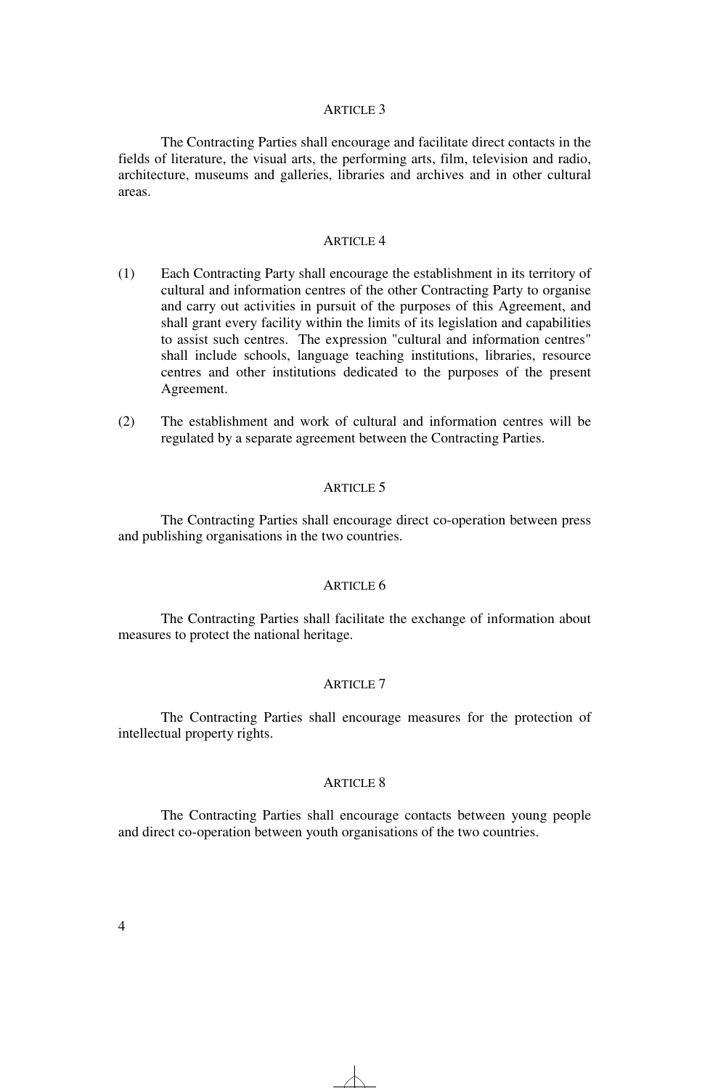#### ARTICLE 3

The Contracting Parties shall encourage and facilitate direct contacts in the fields of literature, the visual arts, the performing arts, film, television and radio, architecture, museums and galleries, libraries and archives and in other cultural areas.

# ARTICLE 4

- (1) Each Contracting Party shall encourage the establishment in its territory of cultural and information centres of the other Contracting Party to organise and carry out activities in pursuit of the purposes of this Agreement, and shall grant every facility within the limits of its legislation and capabilities to assist such centres. The expression "cultural and information centres" shall include schools, language teaching institutions, libraries, resource centres and other institutions dedicated to the purposes of the present Agreement.
- (2) The establishment and work of cultural and information centres will be regulated by a separate agreement between the Contracting Parties.

### ARTICLE 5

The Contracting Parties shall encourage direct co-operation between press and publishing organisations in the two countries.

#### ARTICLE 6

The Contracting Parties shall facilitate the exchange of information about measures to protect the national heritage.

#### ARTICLE 7

The Contracting Parties shall encourage measures for the protection of intellectual property rights.

## ARTICLE 8

The Contracting Parties shall encourage contacts between young people and direct co-operation between youth organisations of the two countries.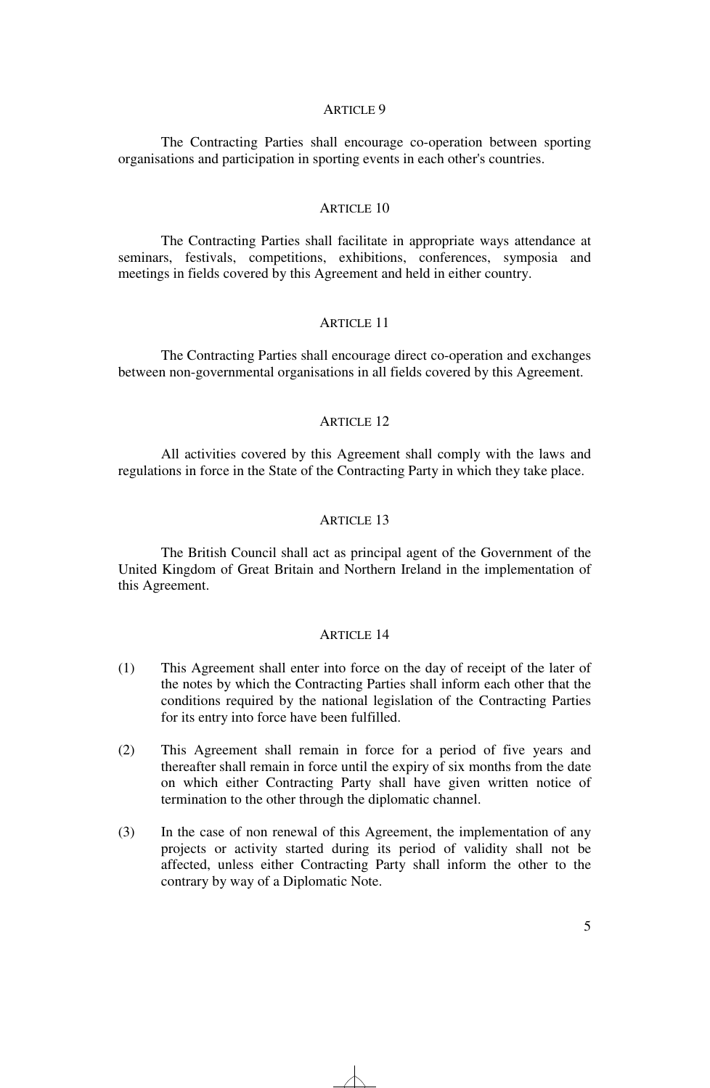#### ARTICLE 9

The Contracting Parties shall encourage co-operation between sporting organisations and participation in sporting events in each other's countries.

## ARTICLE 10

The Contracting Parties shall facilitate in appropriate ways attendance at seminars, festivals, competitions, exhibitions, conferences, symposia and meetings in fields covered by this Agreement and held in either country.

# ARTICLE 11

The Contracting Parties shall encourage direct co-operation and exchanges between non-governmental organisations in all fields covered by this Agreement.

## ARTICLE 12

All activities covered by this Agreement shall comply with the laws and regulations in force in the State of the Contracting Party in which they take place.

#### ARTICLE 13

The British Council shall act as principal agent of the Government of the United Kingdom of Great Britain and Northern Ireland in the implementation of this Agreement.

## ARTICLE 14

- (1) This Agreement shall enter into force on the day of receipt of the later of the notes by which the Contracting Parties shall inform each other that the conditions required by the national legislation of the Contracting Parties for its entry into force have been fulfilled.
- (2) This Agreement shall remain in force for a period of five years and thereafter shall remain in force until the expiry of six months from the date on which either Contracting Party shall have given written notice of termination to the other through the diplomatic channel.
- (3) In the case of non renewal of this Agreement, the implementation of any projects or activity started during its period of validity shall not be affected, unless either Contracting Party shall inform the other to the contrary by way of a Diplomatic Note.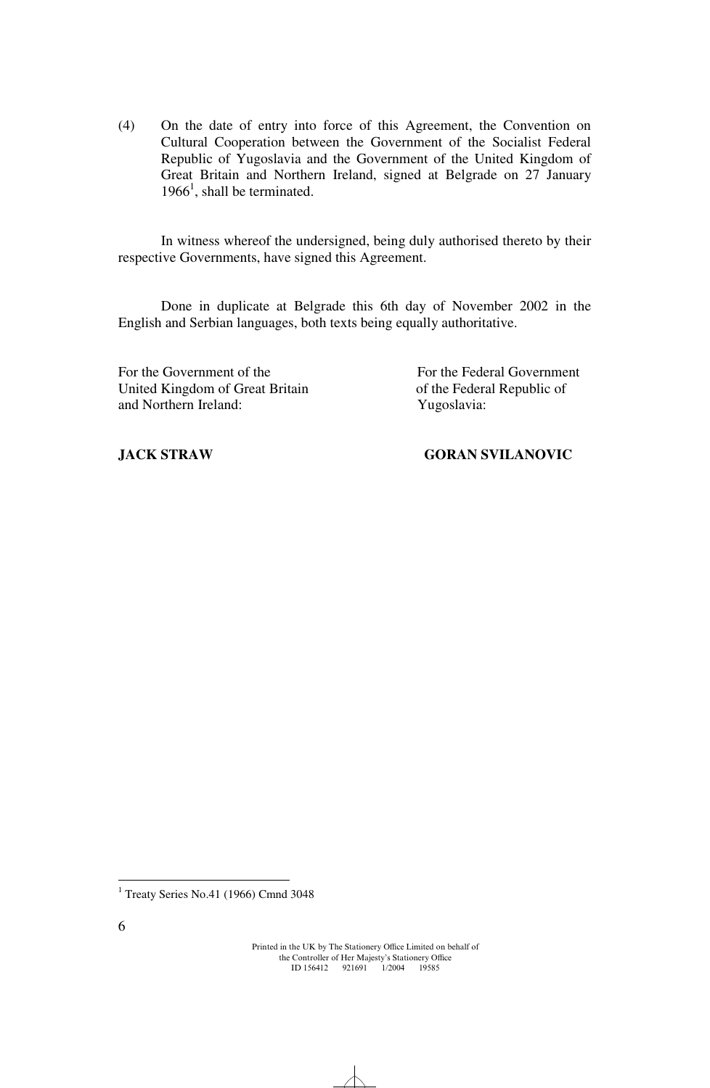(4) On the date of entry into force of this Agreement, the Convention on Cultural Cooperation between the Government of the Socialist Federal Republic of Yugoslavia and the Government of the United Kingdom of Great Britain and Northern Ireland, signed at Belgrade on 27 January  $1966<sup>1</sup>$ , shall be terminated.

In witness whereof the undersigned, being duly authorised thereto by their respective Governments, have signed this Agreement.

Done in duplicate at Belgrade this 6th day of November 2002 in the English and Serbian languages, both texts being equally authoritative.

For the Government of the Forthe Federal Government United Kingdom of Great Britain of the Federal Republic of and Northern Ireland: Yugoslavia:

# **JACK STRAW GORAN SVILANOVIC**

 1 Treaty Series No.41 (1966) Cmnd 3048